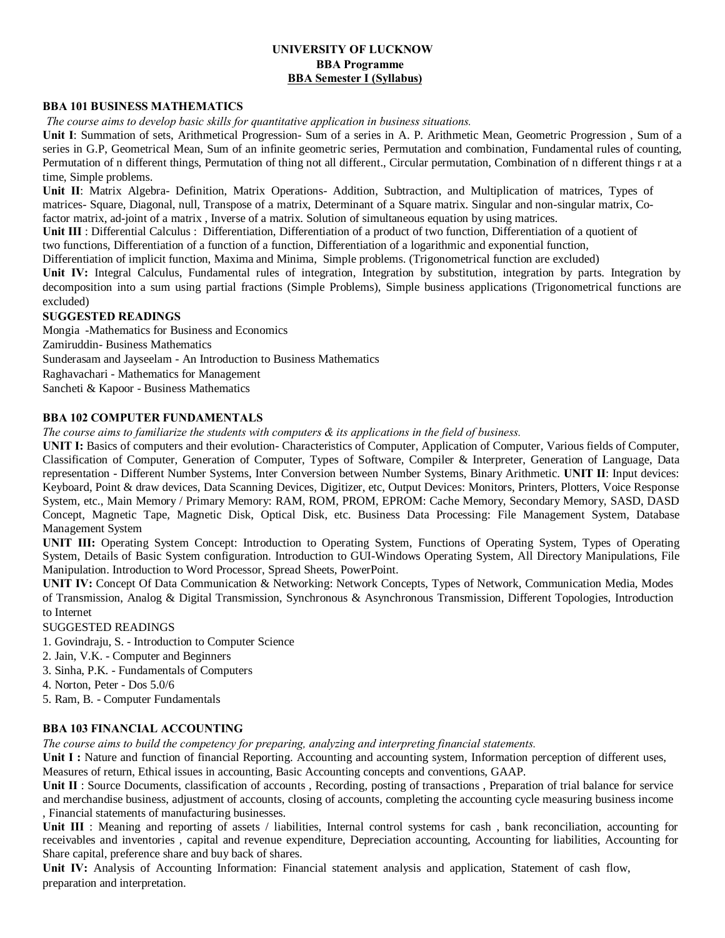# **UNIVERSITY OF LUCKNOW BBA Programme BBA Semester I (Syllabus)**

#### **BBA 101 BUSINESS MATHEMATICS**

*The course aims to develop basic skills for quantitative application in business situations.*

**Unit I**: Summation of sets, Arithmetical Progression- Sum of a series in A. P. Arithmetic Mean, Geometric Progression , Sum of a series in G.P, Geometrical Mean, Sum of an infinite geometric series, Permutation and combination, Fundamental rules of counting, Permutation of n different things, Permutation of thing not all different., Circular permutation, Combination of n different things r at a time, Simple problems.

**Unit II**: Matrix Algebra- Definition, Matrix Operations- Addition, Subtraction, and Multiplication of matrices, Types of matrices- Square, Diagonal, null, Transpose of a matrix, Determinant of a Square matrix. Singular and non-singular matrix, Cofactor matrix, ad-joint of a matrix , Inverse of a matrix. Solution of simultaneous equation by using matrices.

**Unit III** : Differential Calculus : Differentiation, Differentiation of a product of two function, Differentiation of a quotient of

two functions, Differentiation of a function of a function, Differentiation of a logarithmic and exponential function,

Differentiation of implicit function, Maxima and Minima, Simple problems. (Trigonometrical function are excluded)

**Unit IV:** Integral Calculus, Fundamental rules of integration, Integration by substitution, integration by parts. Integration by decomposition into a sum using partial fractions (Simple Problems), Simple business applications (Trigonometrical functions are excluded)

## **SUGGESTED READINGS**

Mongia -Mathematics for Business and Economics Zamiruddin- Business Mathematics Sunderasam and Jayseelam - An Introduction to Business Mathematics Raghavachari - Mathematics for Management Sancheti & Kapoor - Business Mathematics

#### **BBA 102 COMPUTER FUNDAMENTALS**

*The course aims to familiarize the students with computers & its applications in the field of business.*

**UNIT I:** Basics of computers and their evolution- Characteristics of Computer, Application of Computer, Various fields of Computer, Classification of Computer, Generation of Computer, Types of Software, Compiler & Interpreter, Generation of Language, Data representation - Different Number Systems, Inter Conversion between Number Systems, Binary Arithmetic. **UNIT II**: Input devices: Keyboard, Point & draw devices, Data Scanning Devices, Digitizer, etc, Output Devices: Monitors, Printers, Plotters, Voice Response System, etc., Main Memory / Primary Memory: RAM, ROM, PROM, EPROM: Cache Memory, Secondary Memory, SASD, DASD Concept, Magnetic Tape, Magnetic Disk, Optical Disk, etc. Business Data Processing: File Management System, Database Management System

**UNIT III:** Operating System Concept: Introduction to Operating System, Functions of Operating System, Types of Operating System, Details of Basic System configuration. Introduction to GUI-Windows Operating System, All Directory Manipulations, File Manipulation. Introduction to Word Processor, Spread Sheets, PowerPoint.

**UNIT IV:** Concept Of Data Communication & Networking: Network Concepts, Types of Network, Communication Media, Modes of Transmission, Analog & Digital Transmission, Synchronous & Asynchronous Transmission, Different Topologies, Introduction to Internet

SUGGESTED READINGS

- 1. Govindraju, S. Introduction to Computer Science
- 2. Jain, V.K. Computer and Beginners
- 3. Sinha, P.K. Fundamentals of Computers
- 4. Norton, Peter Dos 5.0/6

5. Ram, B. - Computer Fundamentals

## **BBA 103 FINANCIAL ACCOUNTING**

*The course aims to build the competency for preparing, analyzing and interpreting financial statements.*

Unit I: Nature and function of financial Reporting. Accounting and accounting system, Information perception of different uses, Measures of return, Ethical issues in accounting, Basic Accounting concepts and conventions, GAAP.

Unit II : Source Documents, classification of accounts, Recording, posting of transactions, Preparation of trial balance for service and merchandise business, adjustment of accounts, closing of accounts, completing the accounting cycle measuring business income , Financial statements of manufacturing businesses.

**Unit III** : Meaning and reporting of assets / liabilities, Internal control systems for cash , bank reconciliation, accounting for receivables and inventories , capital and revenue expenditure, Depreciation accounting, Accounting for liabilities, Accounting for Share capital, preference share and buy back of shares.

Unit IV: Analysis of Accounting Information: Financial statement analysis and application, Statement of cash flow, preparation and interpretation.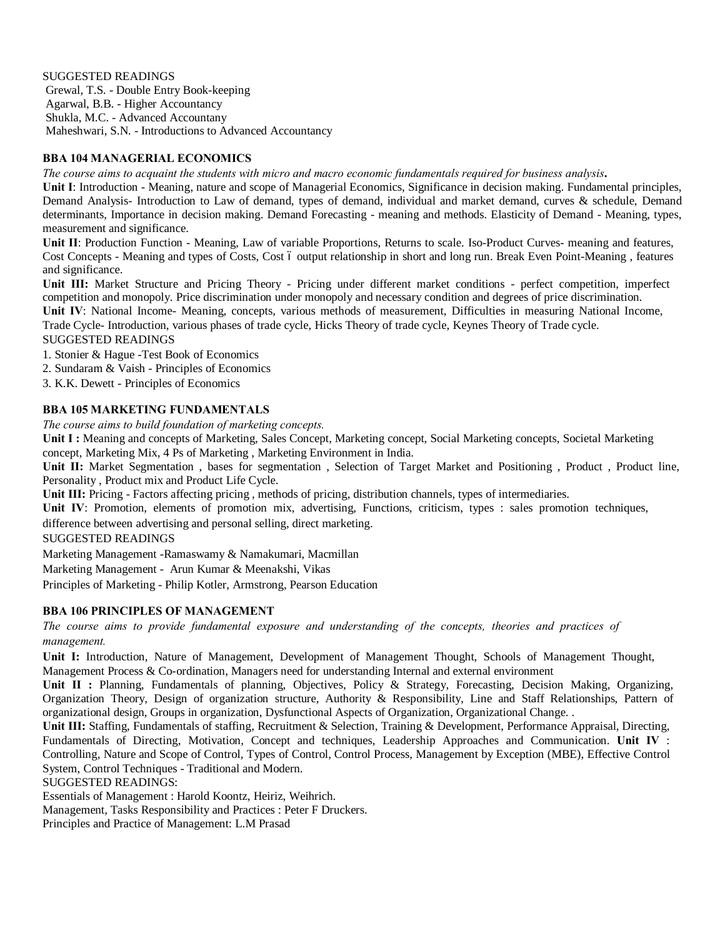SUGGESTED READINGS Grewal, T.S. - Double Entry Book-keeping Agarwal, B.B. - Higher Accountancy Shukla, M.C. - Advanced Accountany Maheshwari, S.N. - Introductions to Advanced Accountancy

## **BBA 104 MANAGERIAL ECONOMICS**

*The course aims to acquaint the students with micro and macro economic fundamentals required for business analysis***.**

**Unit I**: Introduction - Meaning, nature and scope of Managerial Economics, Significance in decision making. Fundamental principles, Demand Analysis- Introduction to Law of demand, types of demand, individual and market demand, curves & schedule, Demand determinants, Importance in decision making. Demand Forecasting - meaning and methods. Elasticity of Demand - Meaning, types, measurement and significance.

**Unit II**: Production Function - Meaning, Law of variable Proportions, Returns to scale. Iso-Product Curves- meaning and features, Cost Concepts - Meaning and types of Costs, Cost 6 output relationship in short and long run. Break Even Point-Meaning, features and significance.

**Unit III:** Market Structure and Pricing Theory - Pricing under different market conditions - perfect competition, imperfect competition and monopoly. Price discrimination under monopoly and necessary condition and degrees of price discrimination.

**Unit IV**: National Income- Meaning, concepts, various methods of measurement, Difficulties in measuring National Income, Trade Cycle- Introduction, various phases of trade cycle, Hicks Theory of trade cycle, Keynes Theory of Trade cycle.

SUGGESTED READINGS

1. Stonier & Hague -Test Book of Economics

2. Sundaram & Vaish - Principles of Economics

3. K.K. Dewett - Principles of Economics

## **BBA 105 MARKETING FUNDAMENTALS**

*The course aims to build foundation of marketing concepts.*

Unit I: Meaning and concepts of Marketing, Sales Concept, Marketing concept, Social Marketing concepts, Societal Marketing concept, Marketing Mix, 4 Ps of Marketing , Marketing Environment in India.

Unit II: Market Segmentation, bases for segmentation, Selection of Target Market and Positioning, Product, Product line, Personality , Product mix and Product Life Cycle.

**Unit III:** Pricing - Factors affecting pricing , methods of pricing, distribution channels, types of intermediaries.

**Unit IV**: Promotion, elements of promotion mix, advertising, Functions, criticism, types : sales promotion techniques,

difference between advertising and personal selling, direct marketing.

SUGGESTED READINGS

Marketing Management -Ramaswamy & Namakumari, Macmillan

Marketing Management - Arun Kumar & Meenakshi, Vikas

Principles of Marketing - Philip Kotler, Armstrong, Pearson Education

## **BBA 106 PRINCIPLES OF MANAGEMENT**

*The course aims to provide fundamental exposure and understanding of the concepts, theories and practices of management.*

**Unit I:** Introduction, Nature of Management, Development of Management Thought, Schools of Management Thought, Management Process & Co-ordination, Managers need for understanding Internal and external environment

Unit II : Planning, Fundamentals of planning, Objectives, Policy & Strategy, Forecasting, Decision Making, Organizing, Organization Theory, Design of organization structure, Authority & Responsibility, Line and Staff Relationships, Pattern of organizational design, Groups in organization, Dysfunctional Aspects of Organization, Organizational Change. .

**Unit III:** Staffing, Fundamentals of staffing, Recruitment & Selection, Training & Development, Performance Appraisal, Directing, Fundamentals of Directing, Motivation, Concept and techniques, Leadership Approaches and Communication. **Unit IV** : Controlling, Nature and Scope of Control, Types of Control, Control Process, Management by Exception (MBE), Effective Control System, Control Techniques - Traditional and Modern.

SUGGESTED READINGS:

Essentials of Management : Harold Koontz, Heiriz, Weihrich.

Management, Tasks Responsibility and Practices : Peter F Druckers.

Principles and Practice of Management: L.M Prasad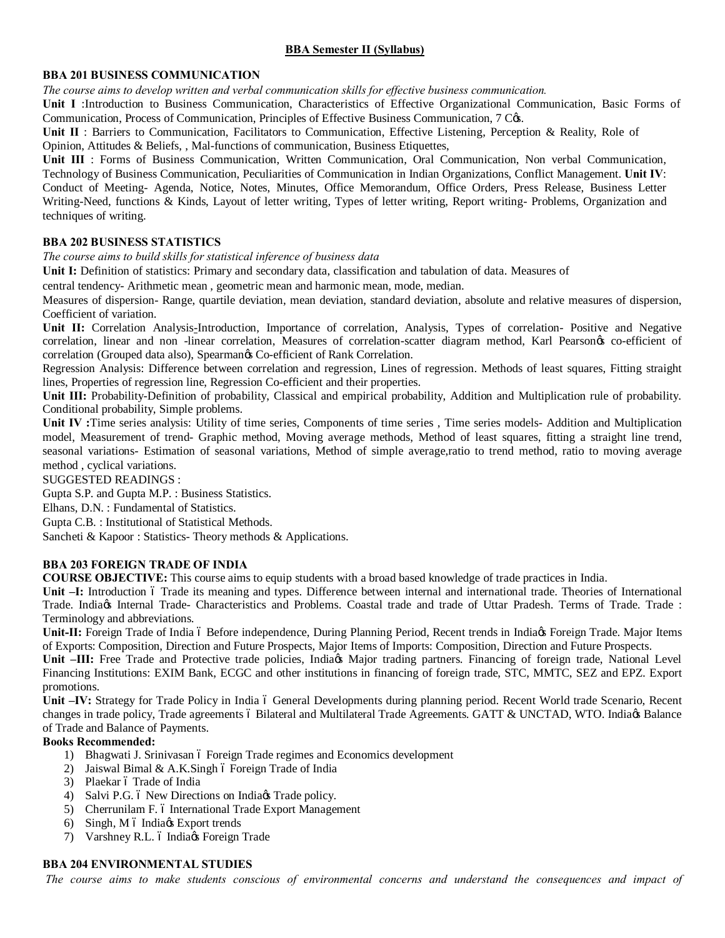# **BBA Semester II (Syllabus)**

## **BBA 201 BUSINESS COMMUNICATION**

*The course aims to develop written and verbal communication skills for effective business communication.*

**Unit I** :Introduction to Business Communication, Characteristics of Effective Organizational Communication, Basic Forms of Communication, Process of Communication, Principles of Effective Business Communication, 7 Cos.

**Unit II** : Barriers to Communication, Facilitators to Communication, Effective Listening, Perception & Reality, Role of Opinion, Attitudes & Beliefs, , Mal-functions of communication, Business Etiquettes,

**Unit III** : Forms of Business Communication, Written Communication, Oral Communication, Non verbal Communication, Technology of Business Communication, Peculiarities of Communication in Indian Organizations, Conflict Management. **Unit IV**: Conduct of Meeting- Agenda, Notice, Notes, Minutes, Office Memorandum, Office Orders, Press Release, Business Letter Writing-Need, functions & Kinds, Layout of letter writing, Types of letter writing, Report writing- Problems, Organization and techniques of writing.

## **BBA 202 BUSINESS STATISTICS**

*The course aims to build skills for statistical inference of business data*

Unit I: Definition of statistics: Primary and secondary data, classification and tabulation of data. Measures of

central tendency- Arithmetic mean , geometric mean and harmonic mean, mode, median.

Measures of dispersion- Range, quartile deviation, mean deviation, standard deviation, absolute and relative measures of dispersion, Coefficient of variation.

**Unit II:** Correlation Analysis-Introduction, Importance of correlation, Analysis, Types of correlation- Positive and Negative correlation, linear and non -linear correlation, Measures of correlation-scatter diagram method, Karl Pearsonos co-efficient of correlation (Grouped data also), Spearman $\alpha$  Co-efficient of Rank Correlation.

Regression Analysis: Difference between correlation and regression, Lines of regression. Methods of least squares, Fitting straight lines, Properties of regression line, Regression Co-efficient and their properties.

**Unit III:** Probability-Definition of probability, Classical and empirical probability, Addition and Multiplication rule of probability. Conditional probability, Simple problems.

**Unit IV :**Time series analysis: Utility of time series, Components of time series , Time series models- Addition and Multiplication model, Measurement of trend- Graphic method, Moving average methods, Method of least squares, fitting a straight line trend, seasonal variations- Estimation of seasonal variations, Method of simple average,ratio to trend method, ratio to moving average method , cyclical variations.

SUGGESTED READINGS :

Gupta S.P. and Gupta M.P. : Business Statistics.

Elhans, D.N. : Fundamental of Statistics.

Gupta C.B. : Institutional of Statistical Methods.

Sancheti & Kapoor : Statistics- Theory methods & Applications.

## **BBA 203 FOREIGN TRADE OF INDIA**

**COURSE OBJECTIVE:** This course aims to equip students with a broad based knowledge of trade practices in India.

Unit <sup>-</sup>I: Introduction 6 Trade its meaning and types. Difference between internal and international trade. Theories of International Trade. India's Internal Trade- Characteristics and Problems. Coastal trade and trade of Uttar Pradesh. Terms of Trade. Trade : Terminology and abbreviations.

Unit-II: Foreign Trade of India ó Before independence, During Planning Period, Recent trends in India<sub>gs</sub> Foreign Trade. Major Items of Exports: Composition, Direction and Future Prospects, Major Items of Imports: Composition, Direction and Future Prospects.

Unit –**III:** Free Trade and Protective trade policies, India<sub>(s)</sub> Major trading partners. Financing of foreign trade, National Level Financing Institutions: EXIM Bank, ECGC and other institutions in financing of foreign trade, STC, MMTC, SEZ and EPZ. Export promotions.

**Unit –<b>IV:** Strategy for Trade Policy in India 6 General Developments during planning period. Recent World trade Scenario, Recent changes in trade policy, Trade agreements 6 Bilateral and Multilateral Trade Agreements. GATT & UNCTAD, WTO. India@ Balance of Trade and Balance of Payments.

## **Books Recommended:**

- 1) Bhagwati J. Srinivasan ó Foreign Trade regimes and Economics development
- 2) Jaiswal Bimal & A.K.Singh  $6$  Foreign Trade of India
- 3) Plaekar ó Trade of India
- 4) Salvi P.G. 6 New Directions on India<sub>gs</sub> Trade policy.
- 5) Cherrunilam F. 6 International Trade Export Management
- 6) Singh,  $M$  6 India $\alpha$  Export trends
- 7) Varshney R.L. ó Indiaøs Foreign Trade

# **BBA 204 ENVIRONMENTAL STUDIES**

*The course aims to make students conscious of environmental concerns and understand the consequences and impact of*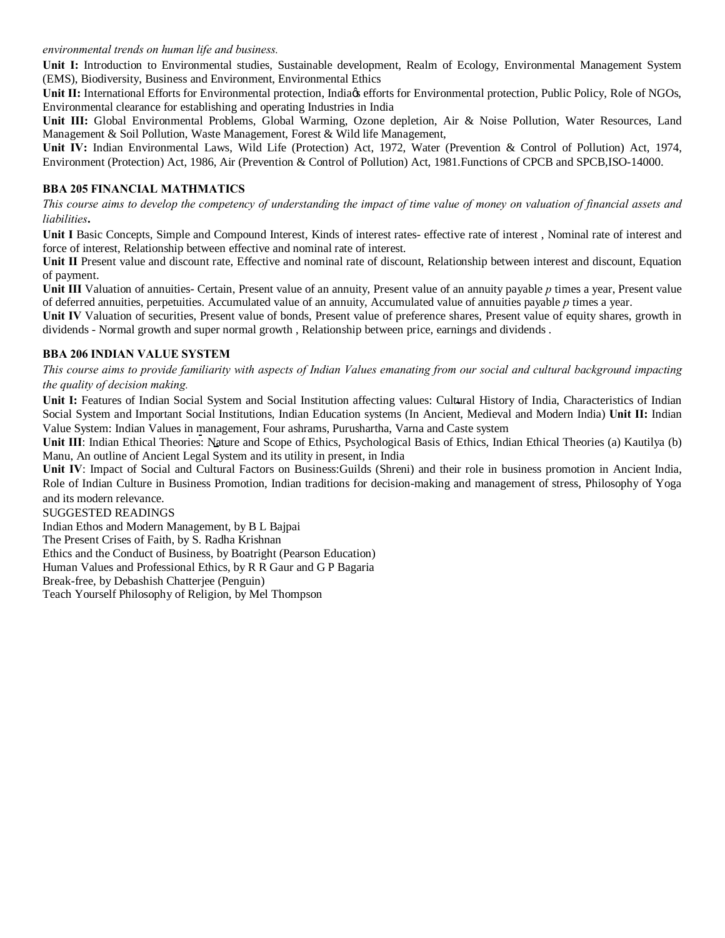### *environmental trends on human life and business.*

**Unit I:** Introduction to Environmental studies, Sustainable development, Realm of Ecology, Environmental Management System (EMS), Biodiversity, Business and Environment, Environmental Ethics

Unit II: International Efforts for Environmental protection, India<sub>ce</sub> efforts for Environmental protection, Public Policy, Role of NGOs, Environmental clearance for establishing and operating Industries in India

**Unit III:** Global Environmental Problems, Global Warming, Ozone depletion, Air & Noise Pollution, Water Resources, Land Management & Soil Pollution, Waste Management, Forest & Wild life Management,

**Unit IV:** Indian Environmental Laws, Wild Life (Protection) Act, 1972, Water (Prevention & Control of Pollution) Act, 1974, Environment (Protection) Act, 1986, Air (Prevention & Control of Pollution) Act, 1981.Functions of CPCB and SPCB,ISO-14000.

## **BBA 205 FINANCIAL MATHMATICS**

*This course aims to develop the competency of understanding the impact of time value of money on valuation of financial assets and liabilities***.**

**Unit I** Basic Concepts, Simple and Compound Interest, Kinds of interest rates- effective rate of interest , Nominal rate of interest and force of interest, Relationship between effective and nominal rate of interest.

**Unit II** Present value and discount rate, Effective and nominal rate of discount, Relationship between interest and discount, Equation of payment.

**Unit III** Valuation of annuities- Certain, Present value of an annuity, Present value of an annuity payable *p* times a year, Present value of deferred annuities, perpetuities. Accumulated value of an annuity, Accumulated value of annuities payable *p* times a year.

**Unit IV** Valuation of securities, Present value of bonds, Present value of preference shares, Present value of equity shares, growth in dividends - Normal growth and super normal growth , Relationship between price, earnings and dividends .

## **BBA 206 INDIAN VALUE SYSTEM**

*This course aims to provide familiarity with aspects of Indian Values emanating from our social and cultural background impacting the quality of decision making.*

Unit I: Features of Indian Social System and Social Institution affecting values: Cultural History of India, Characteristics of Indian Social System and Important Social Institutions, Indian Education systems (In Ancient, Medieval and Modern India) **Unit II:** Indian Value System: Indian Values in management, Four ashrams, Purushartha, Varna and Caste system

**Unit III**: Indian Ethical Theories: Nature and Scope of Ethics, Psychological Basis of Ethics, Indian Ethical Theories (a) Kautilya (b) Manu, An outline of Ancient Legal System and its utility in present, in India

**Unit IV**: Impact of Social and Cultural Factors on Business:Guilds (Shreni) and their role in business promotion in Ancient India, Role of Indian Culture in Business Promotion, Indian traditions for decision-making and management of stress, Philosophy of Yoga and its modern relevance.

#### SUGGESTED READINGS

Indian Ethos and Modern Management, by B L Bajpai The Present Crises of Faith, by S. Radha Krishnan Ethics and the Conduct of Business, by Boatright (Pearson Education) Human Values and Professional Ethics, by R R Gaur and G P Bagaria Break-free, by Debashish Chatterjee (Penguin) Teach Yourself Philosophy of Religion, by Mel Thompson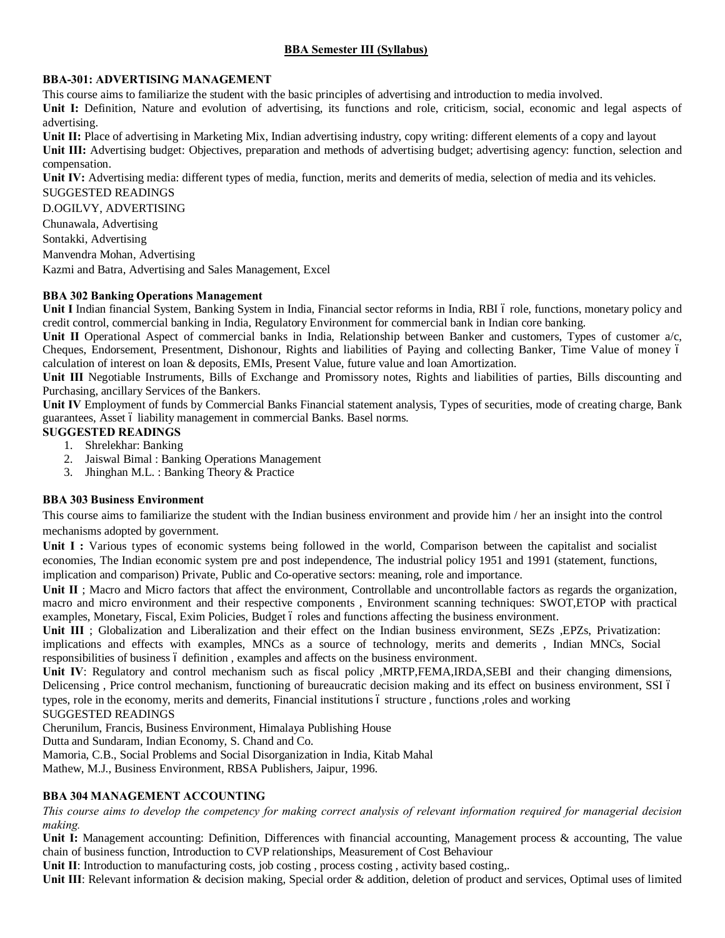# **BBA Semester III (Syllabus)**

## **BBA-301: ADVERTISING MANAGEMENT**

This course aims to familiarize the student with the basic principles of advertising and introduction to media involved. **Unit I:** Definition, Nature and evolution of advertising, its functions and role, criticism, social, economic and legal aspects of advertising.

Unit II: Place of advertising in Marketing Mix, Indian advertising industry, copy writing: different elements of a copy and layout **Unit III:** Advertising budget: Objectives, preparation and methods of advertising budget; advertising agency: function, selection and compensation.

**Unit IV:** Advertising media: different types of media, function, merits and demerits of media, selection of media and its vehicles.

SUGGESTED READINGS

D.OGILVY, ADVERTISING

Chunawala, Advertising

Sontakki, Advertising

Manvendra Mohan, Advertising

Kazmi and Batra, Advertising and Sales Management, Excel

# **BBA 302 Banking Operations Management**

**Unit I** Indian financial System, Banking System in India, Financial sector reforms in India, RBI 6 role, functions, monetary policy and credit control, commercial banking in India, Regulatory Environment for commercial bank in Indian core banking.

Unit II Operational Aspect of commercial banks in India, Relationship between Banker and customers, Types of customer a/c, Cheques, Endorsement, Presentment, Dishonour, Rights and liabilities of Paying and collecting Banker, Time Value of money – calculation of interest on loan & deposits, EMIs, Present Value, future value and loan Amortization.

**Unit III** Negotiable Instruments, Bills of Exchange and Promissory notes, Rights and liabilities of parties, Bills discounting and Purchasing, ancillary Services of the Bankers.

**Unit IV** Employment of funds by Commercial Banks Financial statement analysis, Types of securities, mode of creating charge, Bank guarantees, Asset 6 liability management in commercial Banks. Basel norms.

## **SUGGESTED READINGS**

- 1. Shrelekhar: Banking
- 2. Jaiswal Bimal : Banking Operations Management
- 3. Jhinghan M.L. : Banking Theory & Practice

# **BBA 303 Business Environment**

This course aims to familiarize the student with the Indian business environment and provide him / her an insight into the control mechanisms adopted by government.

Unit I : Various types of economic systems being followed in the world, Comparison between the capitalist and socialist economies, The Indian economic system pre and post independence, The industrial policy 1951 and 1991 (statement, functions, implication and comparison) Private, Public and Co-operative sectors: meaning, role and importance.

Unit II : Macro and Micro factors that affect the environment, Controllable and uncontrollable factors as regards the organization, macro and micro environment and their respective components , Environment scanning techniques: SWOT,ETOP with practical examples, Monetary, Fiscal, Exim Policies, Budget 6 roles and functions affecting the business environment.

Unit III ; Globalization and Liberalization and their effect on the Indian business environment, SEZs , EPZs, Privatization: implications and effects with examples, MNCs as a source of technology, merits and demerits , Indian MNCs, Social responsibilities of business 6 definition, examples and affects on the business environment.

**Unit IV**: Regulatory and control mechanism such as fiscal policy ,MRTP,FEMA,IRDA,SEBI and their changing dimensions, Delicensing, Price control mechanism, functioning of bureaucratic decision making and its effect on business environment, SSI 6 types, role in the economy, merits and demerits, Financial institutions – structure , functions ,roles and working

## SUGGESTED READINGS

Cherunilum, Francis, Business Environment, Himalaya Publishing House

Dutta and Sundaram, Indian Economy, S. Chand and Co.

Mamoria, C.B., Social Problems and Social Disorganization in India, Kitab Mahal

Mathew, M.J., Business Environment, RBSA Publishers, Jaipur, 1996.

# **BBA 304 MANAGEMENT ACCOUNTING**

*This course aims to develop the competency for making correct analysis of relevant information required for managerial decision making.*

**Unit I:** Management accounting: Definition, Differences with financial accounting, Management process & accounting, The value chain of business function, Introduction to CVP relationships, Measurement of Cost Behaviour

Unit II: Introduction to manufacturing costs, job costing, process costing, activity based costing,.

**Unit III**: Relevant information & decision making, Special order & addition, deletion of product and services, Optimal uses of limited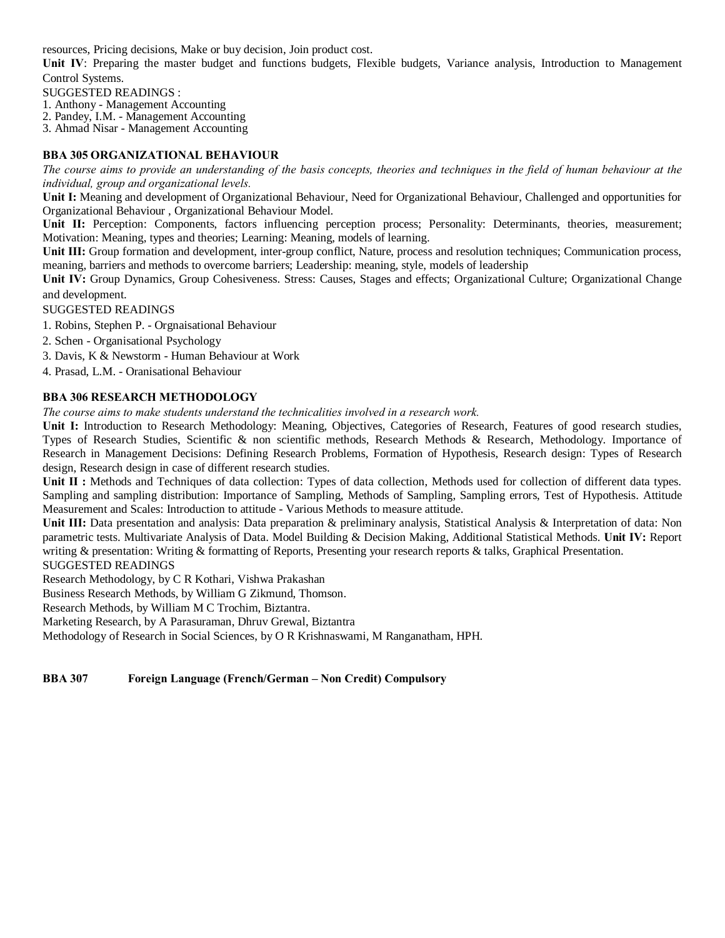resources, Pricing decisions, Make or buy decision, Join product cost.

**Unit IV**: Preparing the master budget and functions budgets, Flexible budgets, Variance analysis, Introduction to Management Control Systems.

SUGGESTED READINGS :

1. Anthony - Management Accounting

2. Pandey, I.M. - Management Accounting

3. Ahmad Nisar - Management Accounting

## **BBA 305 ORGANIZATIONAL BEHAVIOUR**

*The course aims to provide an understanding of the basis concepts, theories and techniques in the field of human behaviour at the individual, group and organizational levels.*

**Unit I:** Meaning and development of Organizational Behaviour, Need for Organizational Behaviour, Challenged and opportunities for Organizational Behaviour , Organizational Behaviour Model.

**Unit II:** Perception: Components, factors influencing perception process; Personality: Determinants, theories, measurement; Motivation: Meaning, types and theories; Learning: Meaning, models of learning.

**Unit III:** Group formation and development, inter-group conflict, Nature, process and resolution techniques; Communication process, meaning, barriers and methods to overcome barriers; Leadership: meaning, style, models of leadership

**Unit IV:** Group Dynamics, Group Cohesiveness. Stress: Causes, Stages and effects; Organizational Culture; Organizational Change and development.

SUGGESTED READINGS

- 1. Robins, Stephen P. Orgnaisational Behaviour
- 2. Schen Organisational Psychology
- 3. Davis, K & Newstorm Human Behaviour at Work

4. Prasad, L.M. - Oranisational Behaviour

#### **BBA 306 RESEARCH METHODOLOGY**

*The course aims to make students understand the technicalities involved in a research work.*

**Unit I:** Introduction to Research Methodology: Meaning, Objectives, Categories of Research, Features of good research studies, Types of Research Studies, Scientific & non scientific methods, Research Methods & Research, Methodology. Importance of Research in Management Decisions: Defining Research Problems, Formation of Hypothesis, Research design: Types of Research design, Research design in case of different research studies.

**Unit II :** Methods and Techniques of data collection: Types of data collection, Methods used for collection of different data types. Sampling and sampling distribution: Importance of Sampling, Methods of Sampling, Sampling errors, Test of Hypothesis. Attitude Measurement and Scales: Introduction to attitude - Various Methods to measure attitude.

Unit III: Data presentation and analysis: Data preparation & preliminary analysis, Statistical Analysis & Interpretation of data: Non parametric tests. Multivariate Analysis of Data. Model Building & Decision Making, Additional Statistical Methods. **Unit IV:** Report writing & presentation: Writing & formatting of Reports, Presenting your research reports & talks, Graphical Presentation.

SUGGESTED READINGS

Research Methodology, by C R Kothari, Vishwa Prakashan

Business Research Methods, by William G Zikmund, Thomson.

Research Methods, by William M C Trochim, Biztantra.

Marketing Research, by A Parasuraman, Dhruv Grewal, Biztantra

Methodology of Research in Social Sciences, by O R Krishnaswami, M Ranganatham, HPH.

## **BBA 307 Foreign Language (French/German – Non Credit) Compulsory**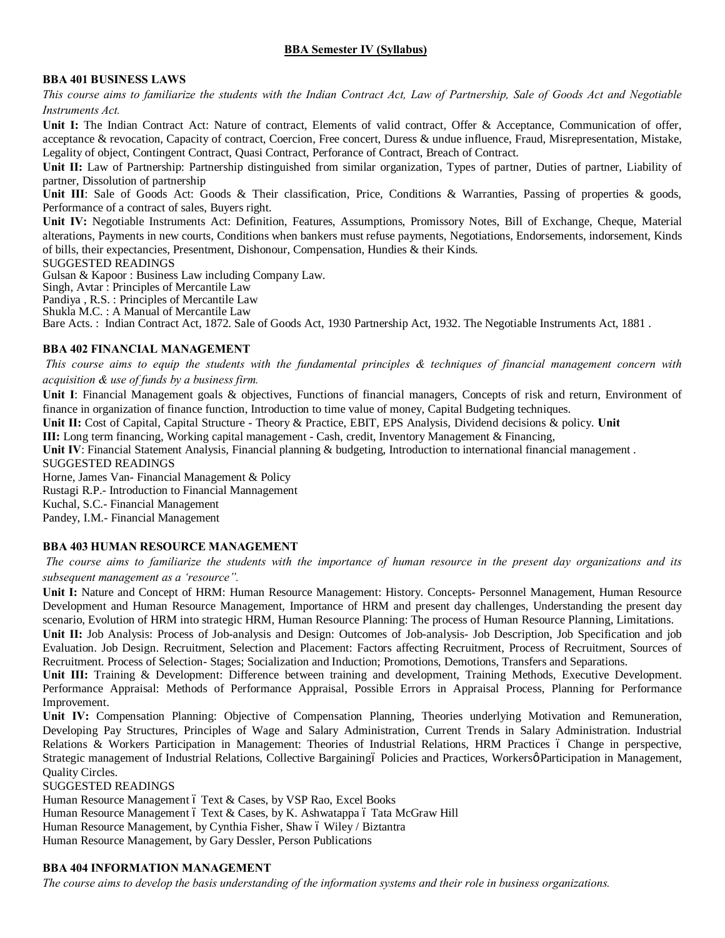# **BBA Semester IV (Syllabus)**

#### **BBA 401 BUSINESS LAWS**

*This course aims to familiarize the students with the Indian Contract Act, Law of Partnership, Sale of Goods Act and Negotiable Instruments Act.*

Unit I: The Indian Contract Act: Nature of contract, Elements of valid contract, Offer & Acceptance, Communication of offer, acceptance & revocation, Capacity of contract, Coercion, Free concert, Duress & undue influence, Fraud, Misrepresentation, Mistake, Legality of object, Contingent Contract, Quasi Contract, Perforance of Contract, Breach of Contract.

**Unit II:** Law of Partnership: Partnership distinguished from similar organization, Types of partner, Duties of partner, Liability of partner, Dissolution of partnership

Unit III: Sale of Goods Act: Goods & Their classification, Price, Conditions & Warranties, Passing of properties & goods, Performance of a contract of sales, Buyers right.

**Unit IV:** Negotiable Instruments Act: Definition, Features, Assumptions, Promissory Notes, Bill of Exchange, Cheque, Material alterations, Payments in new courts, Conditions when bankers must refuse payments, Negotiations, Endorsements, indorsement, Kinds of bills, their expectancies, Presentment, Dishonour, Compensation, Hundies & their Kinds.

#### SUGGESTED READINGS

Gulsan & Kapoor : Business Law including Company Law.

Singh, Avtar : Principles of Mercantile Law

Pandiya , R.S. : Principles of Mercantile Law

Shukla M.C. : A Manual of Mercantile Law

Bare Acts. : Indian Contract Act, 1872. Sale of Goods Act, 1930 Partnership Act, 1932. The Negotiable Instruments Act, 1881 .

#### **BBA 402 FINANCIAL MANAGEMENT**

*This course aims to equip the students with the fundamental principles & techniques of financial management concern with acquisition & use of funds by a business firm.*

**Unit I**: Financial Management goals & objectives, Functions of financial managers, Concepts of risk and return, Environment of finance in organization of finance function, Introduction to time value of money, Capital Budgeting techniques.

**Unit II:** Cost of Capital, Capital Structure - Theory & Practice, EBIT, EPS Analysis, Dividend decisions & policy. **Unit** 

**III:** Long term financing, Working capital management - Cash, credit, Inventory Management & Financing,

Unit IV: Financial Statement Analysis, Financial planning & budgeting, Introduction to international financial management. SUGGESTED READINGS

Horne, James Van- Financial Management & Policy Rustagi R.P.- Introduction to Financial Mannagement

Kuchal, S.C.- Financial Management

Pandey, I.M.- Financial Management

## **BBA 403 HUMAN RESOURCE MANAGEMENT**

*The course aims to familiarize the students with the importance of human resource in the present day organizations and its subsequent management as a 'resource".*

**Unit I:** Nature and Concept of HRM: Human Resource Management: History. Concepts- Personnel Management, Human Resource Development and Human Resource Management, Importance of HRM and present day challenges, Understanding the present day scenario, Evolution of HRM into strategic HRM, Human Resource Planning: The process of Human Resource Planning, Limitations.

**Unit II:** Job Analysis: Process of Job-analysis and Design: Outcomes of Job-analysis- Job Description, Job Specification and job Evaluation. Job Design. Recruitment, Selection and Placement: Factors affecting Recruitment, Process of Recruitment, Sources of Recruitment. Process of Selection- Stages; Socialization and Induction; Promotions, Demotions, Transfers and Separations.

**Unit III:** Training & Development: Difference between training and development, Training Methods, Executive Development. Performance Appraisal: Methods of Performance Appraisal, Possible Errors in Appraisal Process, Planning for Performance Improvement.

**Unit IV:** Compensation Planning: Objective of Compensation Planning, Theories underlying Motivation and Remuneration, Developing Pay Structures, Principles of Wage and Salary Administration, Current Trends in Salary Administration. Industrial Relations & Workers Participation in Management: Theories of Industrial Relations, HRM Practices 6 Change in perspective, Strategic management of Industrial Relations, Collective Bargaining policies and Practices, Workersø Participation in Management, Quality Circles.

## SUGGESTED READINGS

Human Resource Management ó Text & Cases, by VSP Rao, Excel Books Human Resource Management 6 Text & Cases, by K. Ashwatappa 6 Tata McGraw Hill Human Resource Management, by Cynthia Fisher, Shaw 6 Wiley / Biztantra Human Resource Management, by Gary Dessler, Person Publications

## **BBA 404 INFORMATION MANAGEMENT**

*The course aims to develop the basis understanding of the information systems and their role in business organizations.*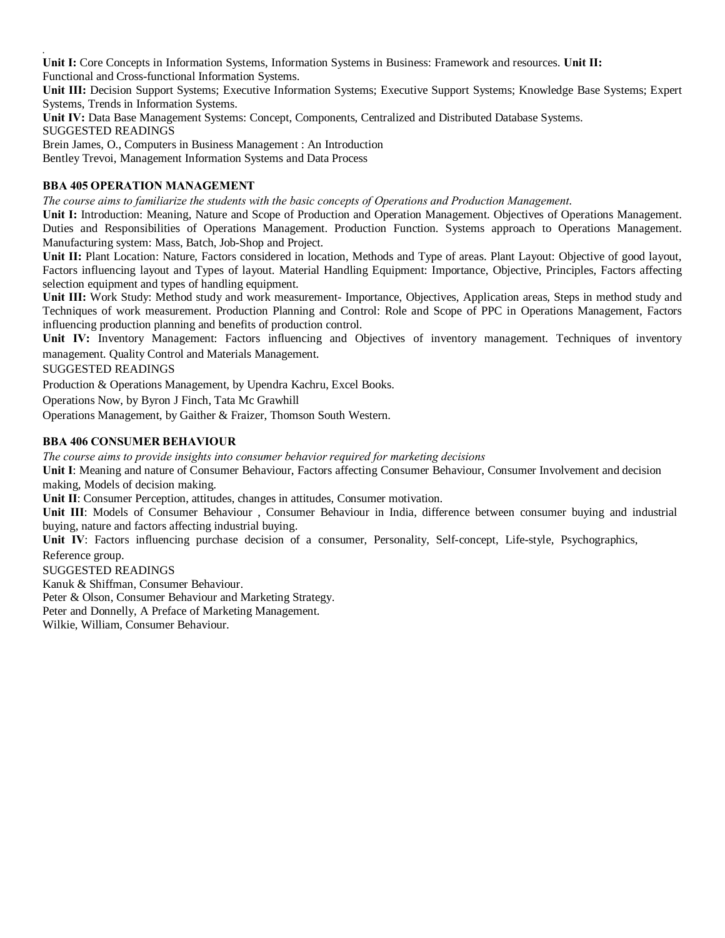Unit I: Core Concepts in Information Systems, Information Systems in Business: Framework and resources. Unit II: Functional and Cross-functional Information Systems.

**Unit III:** Decision Support Systems; Executive Information Systems; Executive Support Systems; Knowledge Base Systems; Expert Systems, Trends in Information Systems.

**Unit IV:** Data Base Management Systems: Concept, Components, Centralized and Distributed Database Systems. SUGGESTED READINGS

Brein James, O., Computers in Business Management : An Introduction Bentley Trevoi, Management Information Systems and Data Process

# **BBA 405 OPERATION MANAGEMENT**

*The course aims to familiarize the students with the basic concepts of Operations and Production Management*.

**Unit I:** Introduction: Meaning, Nature and Scope of Production and Operation Management. Objectives of Operations Management. Duties and Responsibilities of Operations Management. Production Function. Systems approach to Operations Management. Manufacturing system: Mass, Batch, Job-Shop and Project.

Unit II: Plant Location: Nature, Factors considered in location, Methods and Type of areas. Plant Layout: Objective of good layout, Factors influencing layout and Types of layout. Material Handling Equipment: Importance, Objective, Principles, Factors affecting selection equipment and types of handling equipment.

**Unit III:** Work Study: Method study and work measurement- Importance, Objectives, Application areas, Steps in method study and Techniques of work measurement. Production Planning and Control: Role and Scope of PPC in Operations Management, Factors influencing production planning and benefits of production control.

Unit IV: Inventory Management: Factors influencing and Objectives of inventory management. Techniques of inventory management. Quality Control and Materials Management.

SUGGESTED READINGS

*.*

Production & Operations Management, by Upendra Kachru, Excel Books.

Operations Now, by Byron J Finch, Tata Mc Grawhill

Operations Management, by Gaither & Fraizer, Thomson South Western.

## **BBA 406 CONSUMER BEHAVIOUR**

*The course aims to provide insights into consumer behavior required for marketing decisions*

**Unit I**: Meaning and nature of Consumer Behaviour, Factors affecting Consumer Behaviour, Consumer Involvement and decision making, Models of decision making.

**Unit II**: Consumer Perception, attitudes, changes in attitudes, Consumer motivation.

**Unit III**: Models of Consumer Behaviour , Consumer Behaviour in India, difference between consumer buying and industrial buying, nature and factors affecting industrial buying.

**Unit IV**: Factors influencing purchase decision of a consumer, Personality, Self-concept, Life-style, Psychographics, Reference group.

SUGGESTED READINGS

Kanuk & Shiffman, Consumer Behaviour.

Peter & Olson, Consumer Behaviour and Marketing Strategy.

Peter and Donnelly, A Preface of Marketing Management.

Wilkie, William, Consumer Behaviour.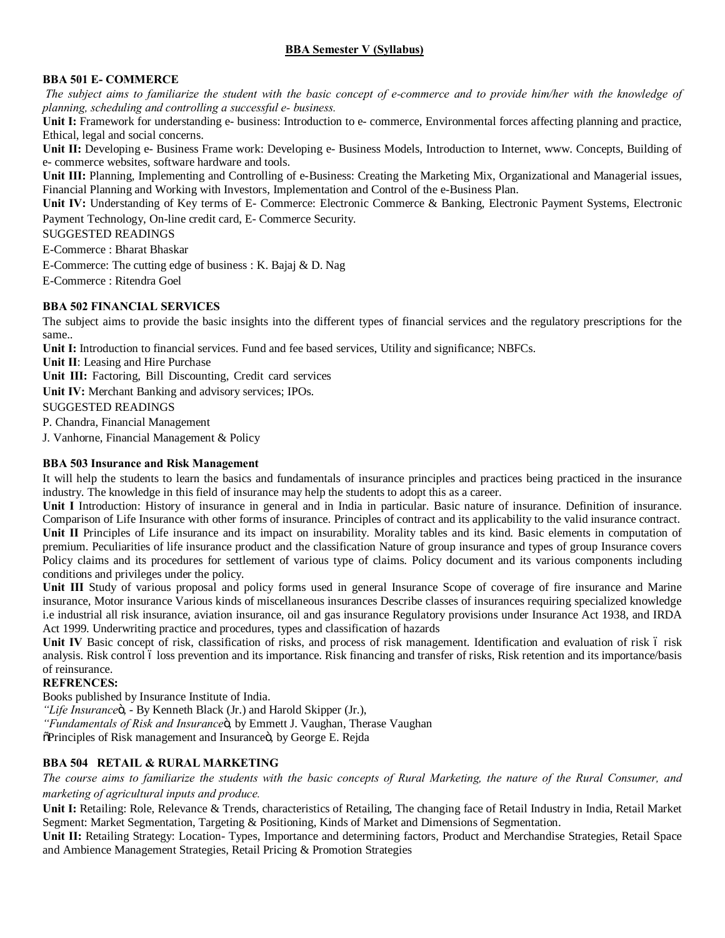# **BBA Semester V (Syllabus)**

# **BBA 501 E- COMMERCE**

*The subject aims to familiarize the student with the basic concept of e-commerce and to provide him/her with the knowledge of planning, scheduling and controlling a successful e- business.*

Unit I: Framework for understanding e- business: Introduction to e- commerce, Environmental forces affecting planning and practice, Ethical, legal and social concerns.

Unit II: Developing e- Business Frame work: Developing e- Business Models, Introduction to Internet, www. Concepts, Building of e- commerce websites, software hardware and tools.

Unit III: Planning, Implementing and Controlling of e-Business: Creating the Marketing Mix, Organizational and Managerial issues, Financial Planning and Working with Investors, Implementation and Control of the e-Business Plan.

**Unit IV:** Understanding of Key terms of E- Commerce: Electronic Commerce & Banking, Electronic Payment Systems, Electronic Payment Technology, On-line credit card, E- Commerce Security.

SUGGESTED READINGS

E-Commerce : Bharat Bhaskar

E-Commerce: The cutting edge of business : K. Bajaj & D. Nag

E-Commerce : Ritendra Goel

## **BBA 502 FINANCIAL SERVICES**

The subject aims to provide the basic insights into the different types of financial services and the regulatory prescriptions for the same..

Unit I: Introduction to financial services. Fund and fee based services, Utility and significance; NBFCs.

**Unit II**: Leasing and Hire Purchase

Unit III: Factoring, Bill Discounting, Credit card services

**Unit IV:** Merchant Banking and advisory services; IPOs.

## SUGGESTED READINGS

P. Chandra, Financial Management

J. Vanhorne, Financial Management & Policy

## **BBA 503 Insurance and Risk Management**

It will help the students to learn the basics and fundamentals of insurance principles and practices being practiced in the insurance industry. The knowledge in this field of insurance may help the students to adopt this as a career.

**Unit I** Introduction: History of insurance in general and in India in particular. Basic nature of insurance. Definition of insurance. Comparison of Life Insurance with other forms of insurance. Principles of contract and its applicability to the valid insurance contract. **Unit II** Principles of Life insurance and its impact on insurability. Morality tables and its kind. Basic elements in computation of premium. Peculiarities of life insurance product and the classification Nature of group insurance and types of group Insurance covers Policy claims and its procedures for settlement of various type of claims. Policy document and its various components including conditions and privileges under the policy.

**Unit III** Study of various proposal and policy forms used in general Insurance Scope of coverage of fire insurance and Marine insurance, Motor insurance Various kinds of miscellaneous insurances Describe classes of insurances requiring specialized knowledge i.e industrial all risk insurance, aviation insurance, oil and gas insurance Regulatory provisions under Insurance Act 1938, and IRDA Act 1999. Underwriting practice and procedures, types and classification of hazards

Unit IV Basic concept of risk, classification of risks, and process of risk management. Identification and evaluation of risk 6 risk analysis. Risk control 6 loss prevention and its importance. Risk financing and transfer of risks, Risk retention and its importance/basis of reinsurance.

## **REFRENCES:**

Books published by Insurance Institute of India.

*"Life Insurance*", - By Kenneth Black (Jr.) and Harold Skipper (Jr.),

"Fundamentals of Risk and Insuranceö, by Emmett J. Vaughan, Therase Vaughan

 $\delta$ Principles of Risk management and Insuranceö, by George E. Rejda

# **BBA 504 RETAIL & RURAL MARKETING**

*The course aims to familiarize the students with the basic concepts of Rural Marketing, the nature of the Rural Consumer, and marketing of agricultural inputs and produce.*

**Unit I:** Retailing: Role, Relevance & Trends, characteristics of Retailing, The changing face of Retail Industry in India, Retail Market Segment: Market Segmentation, Targeting & Positioning, Kinds of Market and Dimensions of Segmentation.

**Unit II:** Retailing Strategy: Location- Types, Importance and determining factors, Product and Merchandise Strategies, Retail Space and Ambience Management Strategies, Retail Pricing & Promotion Strategies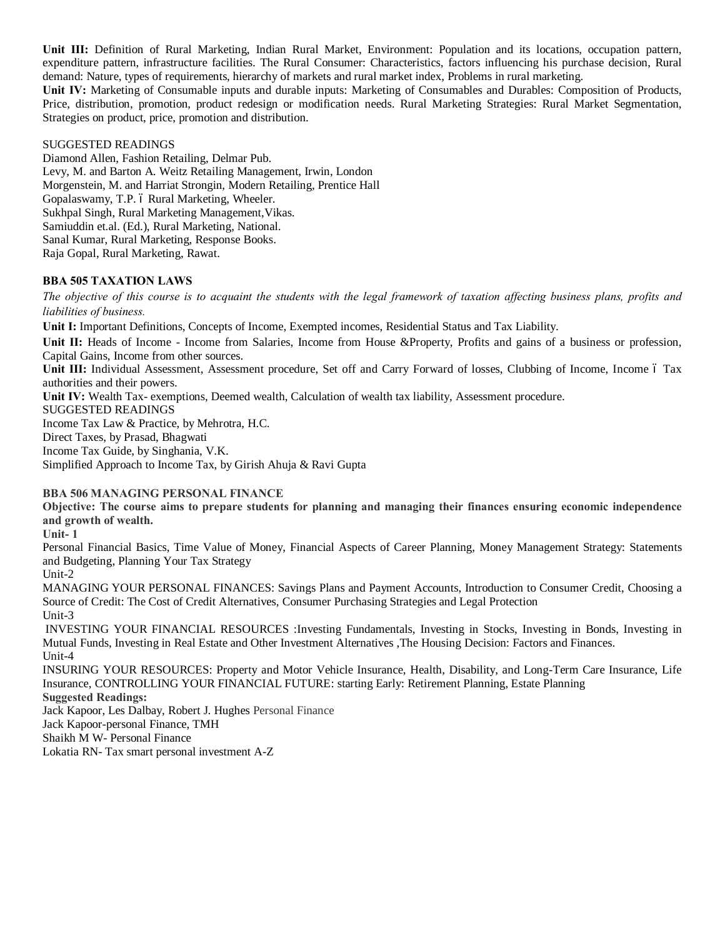**Unit III:** Definition of Rural Marketing, Indian Rural Market, Environment: Population and its locations, occupation pattern, expenditure pattern, infrastructure facilities. The Rural Consumer: Characteristics, factors influencing his purchase decision, Rural demand: Nature, types of requirements, hierarchy of markets and rural market index, Problems in rural marketing.

**Unit IV:** Marketing of Consumable inputs and durable inputs: Marketing of Consumables and Durables: Composition of Products, Price, distribution, promotion, product redesign or modification needs. Rural Marketing Strategies: Rural Market Segmentation, Strategies on product, price, promotion and distribution.

#### SUGGESTED READINGS

Diamond Allen, Fashion Retailing, Delmar Pub. Levy, M. and Barton A. Weitz Retailing Management, Irwin, London Morgenstein, M. and Harriat Strongin, Modern Retailing, Prentice Hall Gopalaswamy, T.P. 6 Rural Marketing, Wheeler. Sukhpal Singh, Rural Marketing Management,Vikas. Samiuddin et.al. (Ed.), Rural Marketing, National. Sanal Kumar, Rural Marketing, Response Books. Raja Gopal, Rural Marketing, Rawat.

## **BBA 505 TAXATION LAWS**

*The objective of this course is to acquaint the students with the legal framework of taxation affecting business plans, profits and liabilities of business.*

**Unit I:** Important Definitions, Concepts of Income, Exempted incomes, Residential Status and Tax Liability.

**Unit II:** Heads of Income - Income from Salaries, Income from House &Property, Profits and gains of a business or profession, Capital Gains, Income from other sources.

**Unit III:** Individual Assessment, Assessment procedure, Set off and Carry Forward of losses, Clubbing of Income, Income 6 Tax authorities and their powers.

**Unit IV:** Wealth Tax- exemptions, Deemed wealth, Calculation of wealth tax liability, Assessment procedure.

SUGGESTED READINGS

Income Tax Law & Practice, by Mehrotra, H.C.

Direct Taxes, by Prasad, Bhagwati

Income Tax Guide, by Singhania, V.K.

Simplified Approach to Income Tax, by Girish Ahuja & Ravi Gupta

## **BBA 506 MANAGING PERSONAL FINANCE**

**Objective: The course aims to prepare students for planning and managing their finances ensuring economic independence and growth of wealth.**

**Unit- 1**

Personal Financial Basics, Time Value of Money, Financial Aspects of Career Planning, Money Management Strategy: Statements and Budgeting, Planning Your Tax Strategy

Unit-2

MANAGING YOUR PERSONAL FINANCES: Savings Plans and Payment Accounts, Introduction to Consumer Credit, Choosing a Source of Credit: The Cost of Credit Alternatives, Consumer Purchasing Strategies and Legal Protection Unit-3

INVESTING YOUR FINANCIAL RESOURCES :Investing Fundamentals, Investing in Stocks, Investing in Bonds, Investing in Mutual Funds, Investing in Real Estate and Other Investment Alternatives ,The Housing Decision: Factors and Finances. Unit-4

INSURING YOUR RESOURCES: Property and Motor Vehicle Insurance, Health, Disability, and Long-Term Care Insurance, Life Insurance, CONTROLLING YOUR FINANCIAL FUTURE: starting Early: Retirement Planning, Estate Planning **Suggested Readings:**

Jack Kapoor, Les Dalbay, Robert J. Hughes Personal Finance

Jack Kapoor-personal Finance, TMH

Shaikh M W- Personal Finance

Lokatia RN- Tax smart personal investment A-Z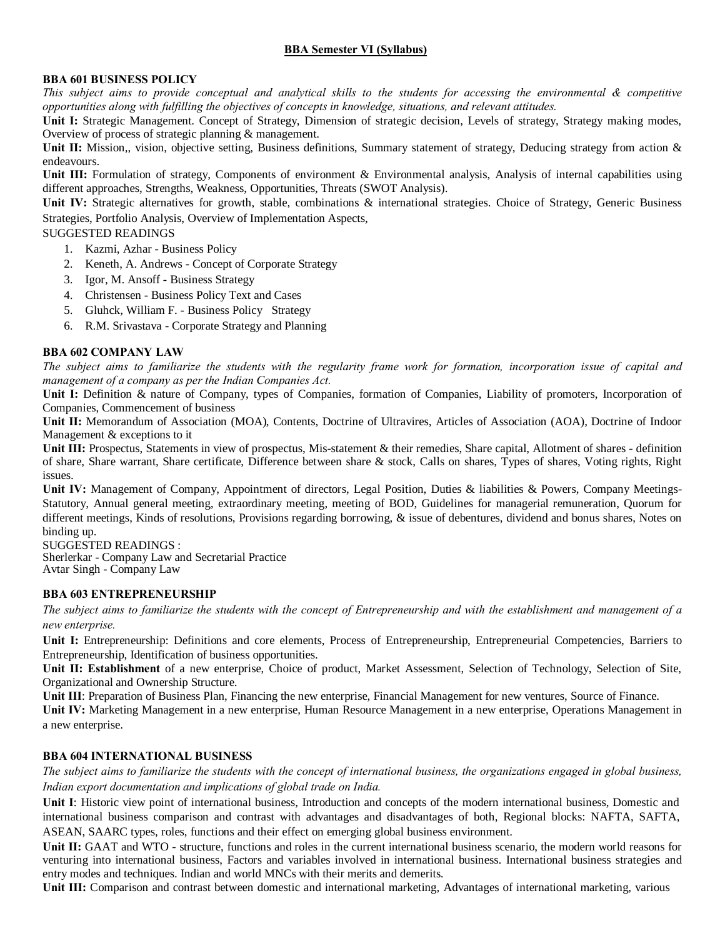# **BBA Semester VI (Syllabus)**

## **BBA 601 BUSINESS POLICY**

*This subject aims to provide conceptual and analytical skills to the students for accessing the environmental & competitive opportunities along with fulfilling the objectives of concepts in knowledge, situations, and relevant attitudes.*

**Unit I:** Strategic Management. Concept of Strategy, Dimension of strategic decision, Levels of strategy, Strategy making modes, Overview of process of strategic planning & management.

Unit II: Mission,, vision, objective setting, Business definitions, Summary statement of strategy, Deducing strategy from action & endeavours.

Unit III: Formulation of strategy, Components of environment & Environmental analysis, Analysis of internal capabilities using different approaches, Strengths, Weakness, Opportunities, Threats (SWOT Analysis).

**Unit IV:** Strategic alternatives for growth, stable, combinations & international strategies. Choice of Strategy, Generic Business Strategies, Portfolio Analysis, Overview of Implementation Aspects,

SUGGESTED READINGS

- 1. Kazmi, Azhar Business Policy
- 2. Keneth, A. Andrews Concept of Corporate Strategy
- 3. Igor, M. Ansoff Business Strategy
- 4. Christensen Business Policy Text and Cases
- 5. Gluhck, William F. Business Policy Strategy
- 6. R.M. Srivastava Corporate Strategy and Planning

## **BBA 602 COMPANY LAW**

*The subject aims to familiarize the students with the regularity frame work for formation, incorporation issue of capital and management of a company as per the Indian Companies Act.*

Unit I: Definition & nature of Company, types of Companies, formation of Companies, Liability of promoters, Incorporation of Companies, Commencement of business

**Unit II:** Memorandum of Association (MOA), Contents, Doctrine of Ultravires, Articles of Association (AOA), Doctrine of Indoor Management & exceptions to it

Unit III: Prospectus, Statements in view of prospectus, Mis-statement & their remedies, Share capital, Allotment of shares - definition of share, Share warrant, Share certificate, Difference between share & stock, Calls on shares, Types of shares, Voting rights, Right issues.

Unit IV: Management of Company, Appointment of directors, Legal Position, Duties & liabilities & Powers, Company Meetings-Statutory, Annual general meeting, extraordinary meeting, meeting of BOD, Guidelines for managerial remuneration, Quorum for different meetings, Kinds of resolutions, Provisions regarding borrowing, & issue of debentures, dividend and bonus shares, Notes on binding up.

SUGGESTED READINGS : Sherlerkar - Company Law and Secretarial Practice

Avtar Singh - Company Law

## **BBA 603 ENTREPRENEURSHIP**

*The subject aims to familiarize the students with the concept of Entrepreneurship and with the establishment and management of a new enterprise.*

**Unit I:** Entrepreneurship: Definitions and core elements, Process of Entrepreneurship, Entrepreneurial Competencies, Barriers to Entrepreneurship, Identification of business opportunities.

**Unit II: Establishment** of a new enterprise, Choice of product, Market Assessment, Selection of Technology, Selection of Site, Organizational and Ownership Structure.

**Unit III**: Preparation of Business Plan, Financing the new enterprise, Financial Management for new ventures, Source of Finance.

**Unit IV:** Marketing Management in a new enterprise, Human Resource Management in a new enterprise, Operations Management in a new enterprise.

## **BBA 604 INTERNATIONAL BUSINESS**

*The subject aims to familiarize the students with the concept of international business, the organizations engaged in global business, Indian export documentation and implications of global trade on India.*

**Unit I**: Historic view point of international business, Introduction and concepts of the modern international business, Domestic and international business comparison and contrast with advantages and disadvantages of both, Regional blocks: NAFTA, SAFTA, ASEAN, SAARC types, roles, functions and their effect on emerging global business environment.

Unit II: GAAT and WTO - structure, functions and roles in the current international business scenario, the modern world reasons for venturing into international business, Factors and variables involved in international business. International business strategies and entry modes and techniques. Indian and world MNCs with their merits and demerits.

**Unit III:** Comparison and contrast between domestic and international marketing, Advantages of international marketing, various